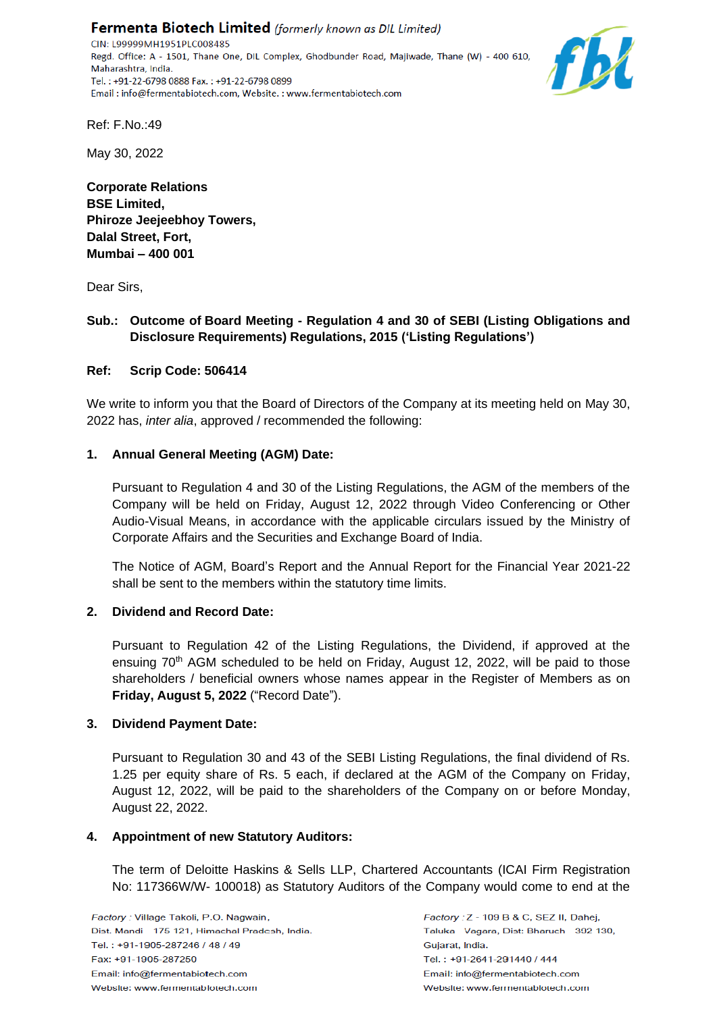Fermenta Biotech Limited (formerly known as DIL Limited) CIN: L99999MH1951PLC008485 Regd. Office: A - 1501, Thane One, DIL Complex, Ghodbunder Road, Majiwade, Thane (W) - 400 610, Maharashtra, India. Tel.: +91-22-6798 0888 Fax.: +91-22-6798 0899 Email: info@fermentabiotech.com, Website.: www.fermentabiotech.com



Ref: F.No.:49

May 30, 2022

**Corporate Relations BSE Limited, Phiroze Jeejeebhoy Towers, Dalal Street, Fort, Mumbai – 400 001**

Dear Sirs,

### **Sub.: Outcome of Board Meeting - Regulation 4 and 30 of SEBI (Listing Obligations and Disclosure Requirements) Regulations, 2015 ('Listing Regulations')**

### **Ref: Scrip Code: 506414**

We write to inform you that the Board of Directors of the Company at its meeting held on May 30, 2022 has, *inter alia*, approved / recommended the following:

### **1. Annual General Meeting (AGM) Date:**

Pursuant to Regulation 4 and 30 of the Listing Regulations, the AGM of the members of the Company will be held on Friday, August 12, 2022 through Video Conferencing or Other Audio-Visual Means, in accordance with the applicable circulars issued by the Ministry of Corporate Affairs and the Securities and Exchange Board of India.

The Notice of AGM, Board's Report and the Annual Report for the Financial Year 2021-22 shall be sent to the members within the statutory time limits.

#### **2. Dividend and Record Date:**

Pursuant to Regulation 42 of the Listing Regulations, the Dividend, if approved at the ensuing 70<sup>th</sup> AGM scheduled to be held on Friday, August 12, 2022, will be paid to those shareholders / beneficial owners whose names appear in the Register of Members as on **Friday, August 5, 2022** ("Record Date").

#### **3. Dividend Payment Date:**

Pursuant to Regulation 30 and 43 of the SEBI Listing Regulations, the final dividend of Rs. 1.25 per equity share of Rs. 5 each, if declared at the AGM of the Company on Friday, August 12, 2022, will be paid to the shareholders of the Company on or before Monday, August 22, 2022.

#### **4. Appointment of new Statutory Auditors:**

The term of Deloitte Haskins & Sells LLP, Chartered Accountants (ICAI Firm Registration No: 117366W/W- 100018) as Statutory Auditors of the Company would come to end at the

Factory: Z - 109 B & C, SEZ II, Dahej, Taluka - Vagara, Dist: Bharuch - 392 130, Guiarat, India. Tel.: +91-2641-291440 / 444 Email: info@fermentabiotech.com Website: www.fermentabiotech.com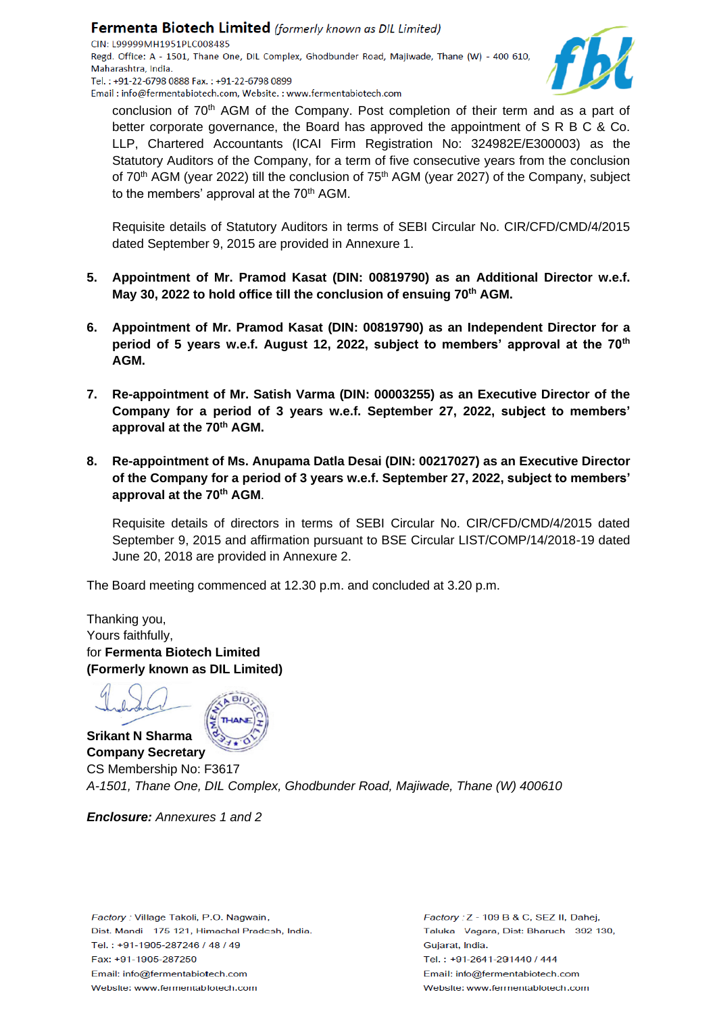

conclusion of 70<sup>th</sup> AGM of the Company. Post completion of their term and as a part of better corporate governance, the Board has approved the appointment of S R B C & Co. LLP, Chartered Accountants (ICAI Firm Registration No: 324982E/E300003) as the Statutory Auditors of the Company, for a term of five consecutive years from the conclusion of 70<sup>th</sup> AGM (year 2022) till the conclusion of 75<sup>th</sup> AGM (year 2027) of the Company, subject to the members' approval at the 70<sup>th</sup> AGM.

Requisite details of Statutory Auditors in terms of SEBI Circular No. CIR/CFD/CMD/4/2015 dated September 9, 2015 are provided in Annexure 1.

- **5. Appointment of Mr. Pramod Kasat (DIN: 00819790) as an Additional Director w.e.f. May 30, 2022 to hold office till the conclusion of ensuing 70th AGM.**
- **6. Appointment of Mr. Pramod Kasat (DIN: 00819790) as an Independent Director for a period of 5 years w.e.f. August 12, 2022, subject to members' approval at the 70th AGM.**
- **7. Re-appointment of Mr. Satish Varma (DIN: 00003255) as an Executive Director of the Company for a period of 3 years w.e.f. September 27, 2022, subject to members' approval at the 70th AGM.**
- **8. Re-appointment of Ms. Anupama Datla Desai (DIN: 00217027) as an Executive Director of the Company for a period of 3 years w.e.f. September 27, 2022, subject to members' approval at the 70th AGM**.

Requisite details of directors in terms of SEBI Circular No. CIR/CFD/CMD/4/2015 dated September 9, 2015 and affirmation pursuant to BSE Circular LIST/COMP/14/2018-19 dated June 20, 2018 are provided in Annexure 2.

The Board meeting commenced at 12.30 p.m. and concluded at 3.20 p.m.

Thanking you, Yours faithfully, for **Fermenta Biotech Limited (Formerly known as DIL Limited)**

**Srikant N Sharma Company Secretary**

CS Membership No: F3617 *A-1501, Thane One, DIL Complex, Ghodbunder Road, Majiwade, Thane (W) 400610*

*Enclosure: Annexures 1 and 2*

Factory: Village Takoli, P.O. Nagwain, Dist. Mandi - 175 121, Himachal Pradesh, India. Tel.: +91-1905-287246 / 48 / 49 Fax: +91-1905-287250 Email: info@fermentabiotech.com Website: www.fermentabiotech.com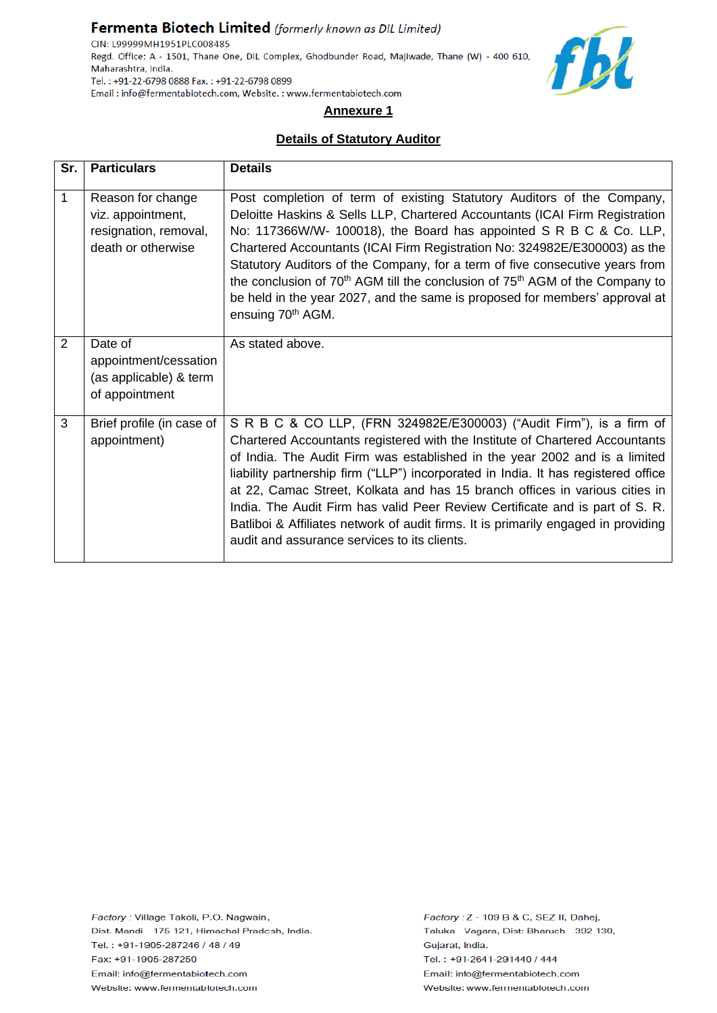## Fermenta Biotech Limited (formerly known as DIL Limited)

CIN: L99999MH1951PLC008485 Regd. Office: A - 1501, Thane One, DIL Complex, Ghodbunder Road, Majiwade, Thane (W) - 400 610, Maharashtra, India. Tel.: +91-22-6798 0888 Fax.: +91-22-6798 0899 Email: info@fermentabiotech.com, Website.: www.fermentabiotech.com



# **Annexure 1**

## **Details of Statutory Auditor**

| Sr. | <b>Particulars</b>                                                                    | <b>Details</b>                                                                                                                                                                                                                                                                                                                                                                                                                                                                                                                                                                                                                |
|-----|---------------------------------------------------------------------------------------|-------------------------------------------------------------------------------------------------------------------------------------------------------------------------------------------------------------------------------------------------------------------------------------------------------------------------------------------------------------------------------------------------------------------------------------------------------------------------------------------------------------------------------------------------------------------------------------------------------------------------------|
| 1   | Reason for change<br>viz. appointment,<br>resignation, removal,<br>death or otherwise | Post completion of term of existing Statutory Auditors of the Company,<br>Deloitte Haskins & Sells LLP, Chartered Accountants (ICAI Firm Registration<br>No: 117366W/W- 100018), the Board has appointed S R B C & Co. LLP,<br>Chartered Accountants (ICAI Firm Registration No: 324982E/E300003) as the<br>Statutory Auditors of the Company, for a term of five consecutive years from<br>the conclusion of 70 <sup>th</sup> AGM till the conclusion of 75 <sup>th</sup> AGM of the Company to<br>be held in the year 2027, and the same is proposed for members' approval at<br>ensuing 70 <sup>th</sup> AGM.              |
| 2   | Date of<br>appointment/cessation<br>(as applicable) & term<br>of appointment          | As stated above.                                                                                                                                                                                                                                                                                                                                                                                                                                                                                                                                                                                                              |
| 3   | Brief profile (in case of<br>appointment)                                             | S R B C & CO LLP, (FRN 324982E/E300003) ("Audit Firm"), is a firm of<br>Chartered Accountants registered with the Institute of Chartered Accountants<br>of India. The Audit Firm was established in the year 2002 and is a limited<br>liability partnership firm ("LLP") incorporated in India. It has registered office<br>at 22, Camac Street, Kolkata and has 15 branch offices in various cities in<br>India. The Audit Firm has valid Peer Review Certificate and is part of S. R.<br>Batliboi & Affiliates network of audit firms. It is primarily engaged in providing<br>audit and assurance services to its clients. |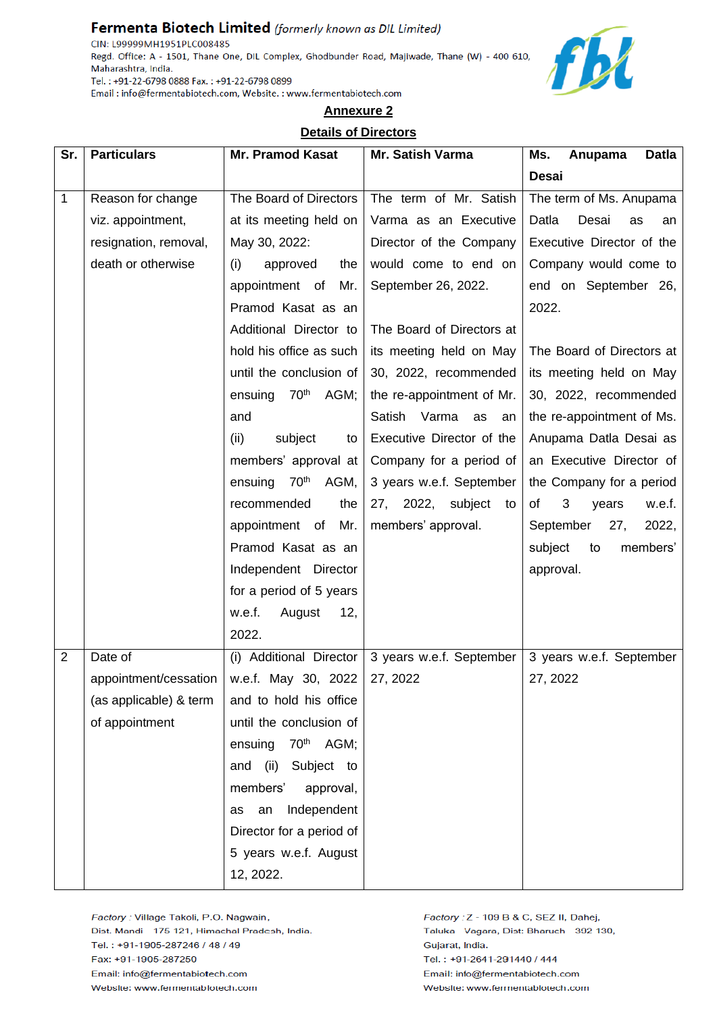# Fermenta Biotech Limited (formerly known as DIL Limited)

CIN: L99999MH1951PLC008485 Regd. Office: A - 1501, Thane One, DIL Complex, Ghodbunder Road, Majiwade, Thane (W) - 400 610, Maharashtra, India. Tel.: +91-22-6798 0888 Fax.: +91-22-6798 0899 Email: info@fermentabiotech.com, Website.: www.fermentabiotech.com



# **Annexure 2**

### **Details of Directors**

| Sr.            | <b>Particulars</b>     | <b>Mr. Pramod Kasat</b>             | Mr. Satish Varma          | Ms.<br><b>Datla</b><br>Anupama |
|----------------|------------------------|-------------------------------------|---------------------------|--------------------------------|
|                |                        |                                     |                           | <b>Desai</b>                   |
| $\mathbf{1}$   | Reason for change      | The Board of Directors              | The term of Mr. Satish    | The term of Ms. Anupama        |
|                | viz. appointment,      | at its meeting held on              | Varma as an Executive     | Desai<br>Datla<br>as<br>an     |
|                | resignation, removal,  | May 30, 2022:                       | Director of the Company   | Executive Director of the      |
|                | death or otherwise     | approved<br>(i)<br>the              | would come to end on      | Company would come to          |
|                |                        | appointment of<br>Mr.               | September 26, 2022.       | end on September 26,           |
|                |                        | Pramod Kasat as an                  |                           | 2022.                          |
|                |                        | Additional Director to              | The Board of Directors at |                                |
|                |                        | hold his office as such             | its meeting held on May   | The Board of Directors at      |
|                |                        | until the conclusion of             | 30, 2022, recommended     | its meeting held on May        |
|                |                        | 70 <sup>th</sup><br>AGM;<br>ensuing | the re-appointment of Mr. | 30, 2022, recommended          |
|                |                        | and                                 | Satish Varma as<br>an     | the re-appointment of Ms.      |
|                |                        | (ii)<br>subject<br>to               | Executive Director of the | Anupama Datla Desai as         |
|                |                        | members' approval at                | Company for a period of   | an Executive Director of       |
|                |                        | 70 <sup>th</sup><br>AGM,<br>ensuing | 3 years w.e.f. September  | the Company for a period       |
|                |                        | recommended<br>the                  | 27, 2022, subject to      | 3<br>of<br>w.e.f.<br>years     |
|                |                        | appointment of Mr.                  | members' approval.        | 2022,<br>September<br>27,      |
|                |                        | Pramod Kasat as an                  |                           | members'<br>subject<br>to      |
|                |                        | Independent Director                |                           | approval.                      |
|                |                        | for a period of 5 years             |                           |                                |
|                |                        | w.e.f.<br>August<br>12,             |                           |                                |
|                |                        | 2022.                               |                           |                                |
| $\overline{2}$ | Date of                | (i) Additional Director             | 3 years w.e.f. September  | 3 years w.e.f. September       |
|                | appointment/cessation  | w.e.f. May 30, 2022                 | 27, 2022                  | 27, 2022                       |
|                | (as applicable) & term | and to hold his office              |                           |                                |
|                | of appointment         | until the conclusion of             |                           |                                |
|                |                        | 70 <sup>th</sup> AGM;<br>ensuing    |                           |                                |
|                |                        | Subject to<br>(ii)<br>and           |                           |                                |
|                |                        | members'<br>approval,               |                           |                                |
|                |                        | Independent<br>an<br>as             |                           |                                |
|                |                        | Director for a period of            |                           |                                |
|                |                        | 5 years w.e.f. August               |                           |                                |
|                |                        | 12, 2022.                           |                           |                                |

Factory : Village Takoli, P.O. Nagwain, Dist. Mandi - 175 121, Himachal Pradesh, India. Tel.: +91-1905-287246 / 48 / 49 Fax: +91-1905-287250 Email: info@fermentabiotech.com Website: www.fermentabiotech.com

Factory: Z - 109 B & C, SEZ II, Dahej, Taluka - Vagara, Dist: Bharuch - 392 130, Gujarat, India. Tel.: +91-2641-291440 / 444 Email: info@fermentabiotech.com Website: www.fermentabiotech.com